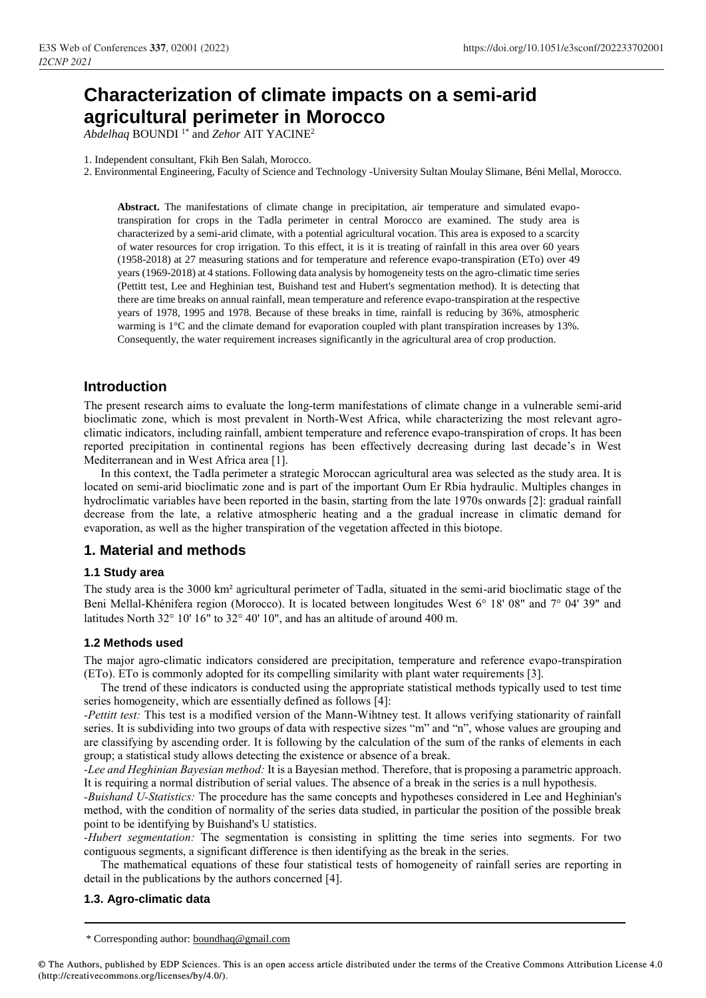# **Characterization of climate impacts on a semi-arid agricultural perimeter in Morocco**

*Abdelhaq* BOUNDI 1\* and *Zehor* AIT YACINE<sup>2</sup>

1. Independent consultant, Fkih Ben Salah, Morocco.

2. Environmental Engineering, Faculty of Science and Technology -University Sultan Moulay Slimane, Béni Mellal, Morocco.

**Abstract.** The manifestations of climate change in precipitation, air temperature and simulated evapotranspiration for crops in the Tadla perimeter in central Morocco are examined. The study area is characterized by a semi-arid climate, with a potential agricultural vocation. This area is exposed to a scarcity of water resources for crop irrigation. To this effect, it is it is treating of rainfall in this area over 60 years (1958-2018) at 27 measuring stations and for temperature and reference evapo-transpiration (ETo) over 49 years (1969-2018) at 4 stations. Following data analysis by homogeneity tests on the agro-climatic time series (Pettitt test, Lee and Heghinian test, Buishand test and Hubert's segmentation method). It is detecting that there are time breaks on annual rainfall, mean temperature and reference evapo-transpiration at the respective years of 1978, 1995 and 1978. Because of these breaks in time, rainfall is reducing by 36%, atmospheric warming is 1°C and the climate demand for evaporation coupled with plant transpiration increases by 13%. Consequently, the water requirement increases significantly in the agricultural area of crop production.

## **Introduction**

The present research aims to evaluate the long-term manifestations of climate change in a vulnerable semi-arid bioclimatic zone, which is most prevalent in North-West Africa, while characterizing the most relevant agroclimatic indicators, including rainfall, ambient temperature and reference evapo-transpiration of crops. It has been reported precipitation in continental regions has been effectively decreasing during last decade's in West Mediterranean and in West Africa area [1].

In this context, the Tadla perimeter a strategic Moroccan agricultural area was selected as the study area. It is located on semi-arid bioclimatic zone and is part of the important Oum Er Rbia hydraulic. Multiples changes in hydroclimatic variables have been reported in the basin, starting from the late 1970s onwards [2]: gradual rainfall decrease from the late, a relative atmospheric heating and a the gradual increase in climatic demand for evaporation, as well as the higher transpiration of the vegetation affected in this biotope.

## **1. Material and methods**

## **1.1 Study area**

The study area is the 3000 km² agricultural perimeter of Tadla, situated in the semi-arid bioclimatic stage of the Beni Mellal-Khénifera region (Morocco). It is located between longitudes West 6° 18' 08" and 7° 04' 39" and latitudes North 32° 10' 16" to 32° 40' 10", and has an altitude of around 400 m.

## **1.2 Methods used**

The major agro-climatic indicators considered are precipitation, temperature and reference evapo-transpiration (ETo). ETo is commonly adopted for its compelling similarity with plant water requirements [3].

The trend of these indicators is conducted using the appropriate statistical methods typically used to test time series homogeneity, which are essentially defined as follows [4]:

*-Pettitt test:* This test is a modified version of the Mann-Wihtney test. It allows verifying stationarity of rainfall series. It is subdividing into two groups of data with respective sizes "m" and "n", whose values are grouping and are classifying by ascending order. It is following by the calculation of the sum of the ranks of elements in each group; a statistical study allows detecting the existence or absence of a break.

*-Lee and Heghinian Bayesian method:* It is a Bayesian method. Therefore, that is proposing a parametric approach. It is requiring a normal distribution of serial values. The absence of a break in the series is a null hypothesis.

*-Buishand U-Statistics:* The procedure has the same concepts and hypotheses considered in Lee and Heghinian's method, with the condition of normality of the series data studied, in particular the position of the possible break point to be identifying by Buishand's U statistics.

*-Hubert segmentation:* The segmentation is consisting in splitting the time series into segments. For two contiguous segments, a significant difference is then identifying as the break in the series.

The mathematical equations of these four statistical tests of homogeneity of rainfall series are reporting in detail in the publications by the authors concerned [4].

## **1.3. Agro-climatic data**

<sup>\*</sup> Corresponding author: boundhaq@gmail.com

<sup>©</sup> The Authors, published by EDP Sciences. This is an open access article distributed under the terms of the Creative Commons Attribution License 4.0 (http://creativecommons.org/licenses/by/4.0/).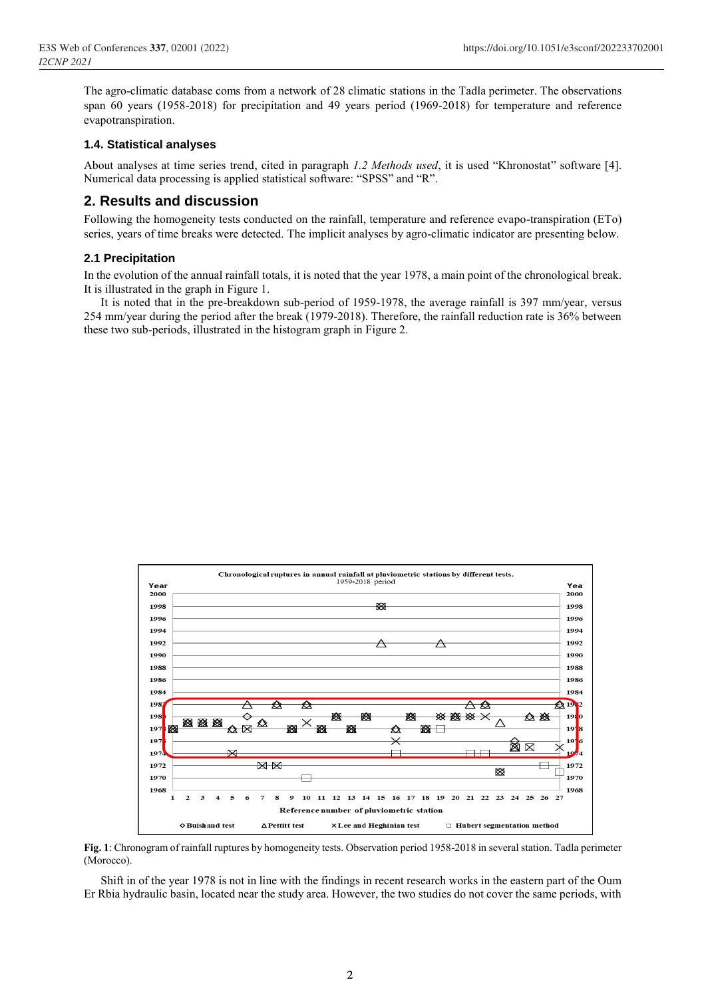The agro-climatic database coms from a network of 28 climatic stations in the Tadla perimeter. The observations span 60 years (1958-2018) for precipitation and 49 years period (1969-2018) for temperature and reference evapotranspiration.

## **1.4. Statistical analyses**

About analyses at time series trend, cited in paragraph *1.2 Methods used*, it is used "Khronostat" software [4]. Numerical data processing is applied statistical software: "SPSS" and "R".

## **2. Results and discussion**

Following the homogeneity tests conducted on the rainfall, temperature and reference evapo-transpiration (ETo) series, years of time breaks were detected. The implicit analyses by agro-climatic indicator are presenting below.

#### **2.1 Precipitation**

In the evolution of the annual rainfall totals, it is noted that the year 1978, a main point of the chronological break. It is illustrated in the graph in Figure 1.

It is noted that in the pre-breakdown sub-period of 1959-1978, the average rainfall is 397 mm/year, versus 254 mm/year during the period after the break (1979-2018). Therefore, the rainfall reduction rate is 36% between these two sub-periods, illustrated in the histogram graph in Figure 2.



**Fig. 1**: Chronogram of rainfall ruptures by homogeneity tests. Observation period 1958-2018 in several station. Tadla perimeter (Morocco).

Shift in of the year 1978 is not in line with the findings in recent research works in the eastern part of the Oum Er Rbia hydraulic basin, located near the study area. However, the two studies do not cover the same periods, with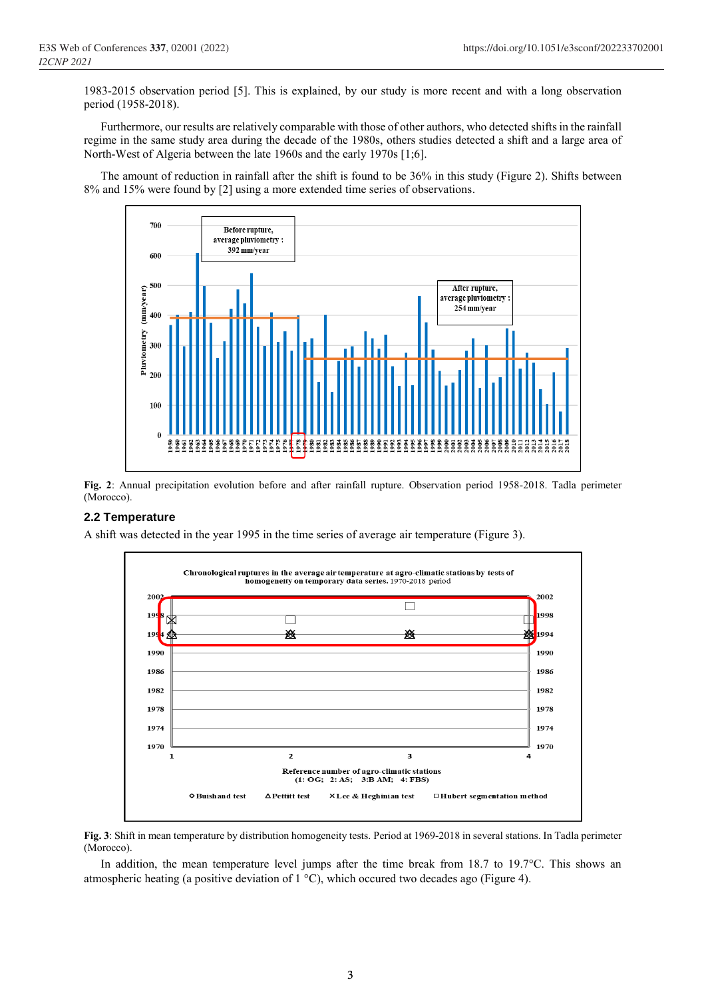1983-2015 observation period [5]. This is explained, by our study is more recent and with a long observation period (1958-2018).

Furthermore, our results are relatively comparable with those of other authors, who detected shifts in the rainfall regime in the same study area during the decade of the 1980s, others studies detected a shift and a large area of North-West of Algeria between the late 1960s and the early 1970s [1;6].

The amount of reduction in rainfall after the shift is found to be 36% in this study (Figure 2). Shifts between 8% and 15% were found by [2] using a more extended time series of observations.



**Fig. 2**: Annual precipitation evolution before and after rainfall rupture. Observation period 1958-2018. Tadla perimeter (Morocco).

## **2.2 Temperature**

A shift was detected in the year 1995 in the time series of average air temperature (Figure 3).



**Fig. 3**: Shift in mean temperature by distribution homogeneity tests. Period at 1969-2018 in several stations. In Tadla perimeter (Morocco).

In addition, the mean temperature level jumps after the time break from 18.7 to 19.7°C. This shows an atmospheric heating (a positive deviation of  $1 \degree C$ ), which occured two decades ago (Figure 4).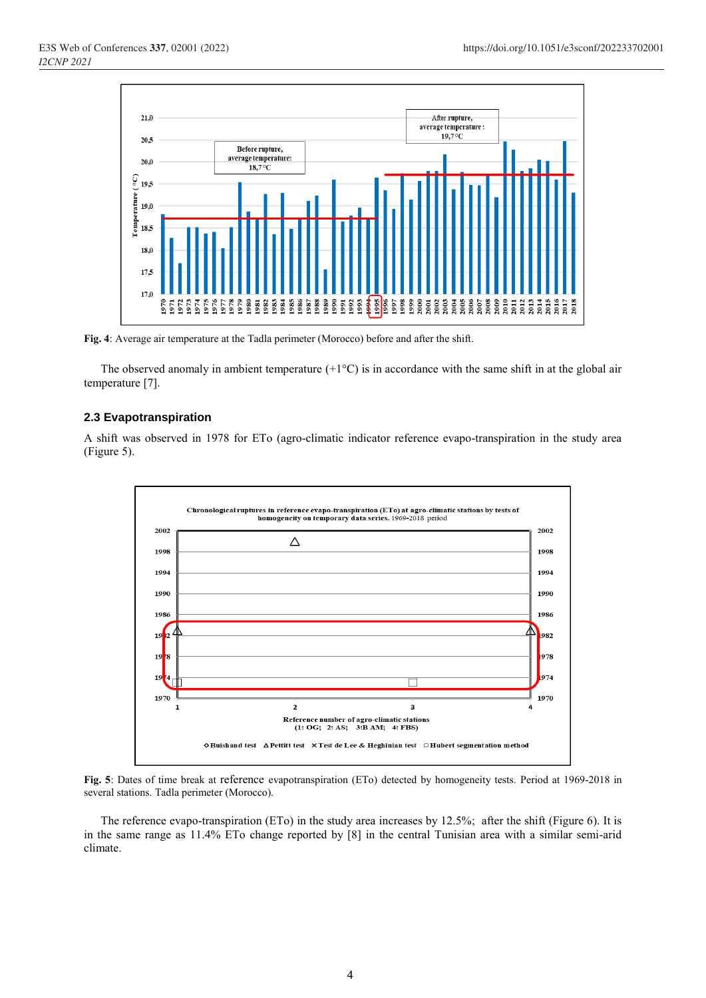

**Fig. 4**: Average air temperature at the Tadla perimeter (Morocco) before and after the shift.

The observed anomaly in ambient temperature  $(+1^{\circ}C)$  is in accordance with the same shift in at the global air temperature [7].

#### **2.3 Evapotranspiration**

A shift was observed in 1978 for ETo (agro-climatic indicator reference evapo-transpiration in the study area (Figure 5).



**Fig. 5**: Dates of time break at reference evapotranspiration (ETo) detected by homogeneity tests. Period at 1969-2018 in several stations. Tadla perimeter (Morocco).

The reference evapo-transpiration (ETo) in the study area increases by 12.5%; after the shift (Figure 6). It is in the same range as 11.4% ETo change reported by [8] in the central Tunisian area with a similar semi-arid climate.